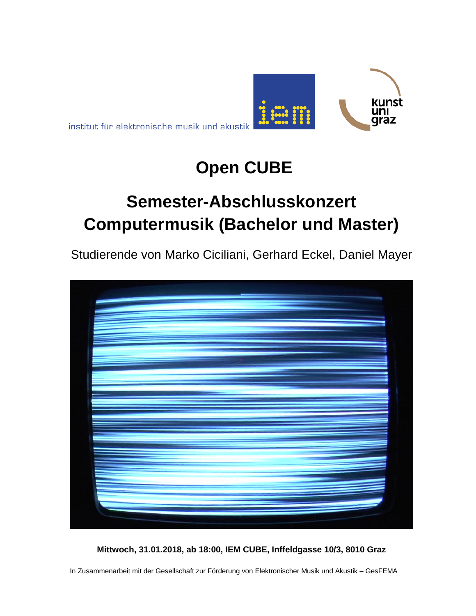



# **Open CUBE**

# **Semester-Abschlusskonzert Computermusik (Bachelor und Master)**

Studierende von Marko Ciciliani, Gerhard Eckel, Daniel Mayer



**Mittwoch, 31.01.2018, ab 18:00, IEM CUBE, Inffeldgasse 10/3, 8010 Graz**

In Zusammenarbeit mit der Gesellschaft zur Förderung von Elektronischer Musik und Akustik – GesFEMA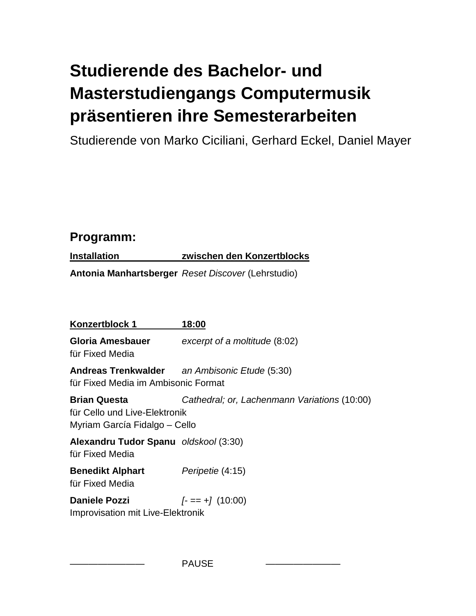# **Studierende des Bachelor- und Masterstudiengangs Computermusik präsentieren ihre Semesterarbeiten**

Studierende von Marko Ciciliani, Gerhard Eckel, Daniel Mayer

## **Programm:**

**Installation zwischen den Konzertblocks**

**Antonia Manhartsberger** *Reset Discover* (Lehrstudio)

| <b>Konzertblock 1</b>                                                               | 18:00                                         |
|-------------------------------------------------------------------------------------|-----------------------------------------------|
| Gloria Amesbauer<br>für Fixed Media                                                 | excerpt of a moltitude (8:02)                 |
| für Fixed Media im Ambisonic Format                                                 | Andreas Trenkwalder an Ambisonic Etude (5:30) |
| Brian Questa<br>für Cello und Live-Elektronik<br>Myriam García Fidalgo – Cello      | Cathedral; or, Lachenmann Variations (10:00)  |
| Alexandru Tudor Spanu oldskool (3:30)<br>für Fixed Media                            |                                               |
| <b>Benedikt Alphart</b> Peripetie (4:15)<br>für Fixed Media                         |                                               |
| <b>Daniele Pozzi</b> $[- == +] (10:00)$<br><b>Improvisation mit Live-Elektronik</b> |                                               |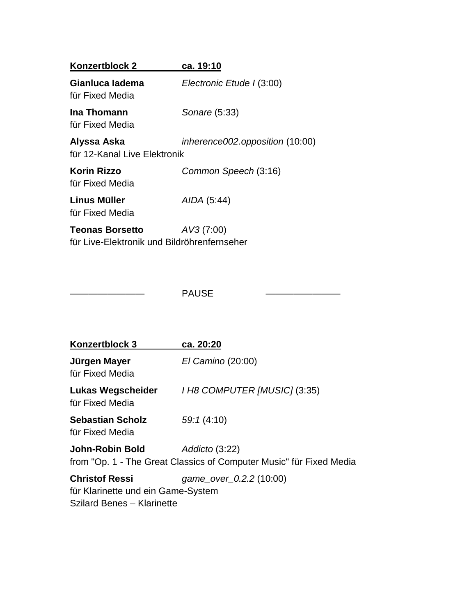| Konzertblock 2                                                        | ca. 19:10                       |
|-----------------------------------------------------------------------|---------------------------------|
| Gianluca ladema<br>für Fixed Media                                    | Electronic Etude I (3:00)       |
| Ina Thomann<br>für Fixed Media                                        | Sonare (5:33)                   |
| Alyssa Aska<br>für 12-Kanal Live Elektronik                           | inherence002.opposition (10:00) |
| <b>Korin Rizzo</b><br>für Fixed Media                                 | Common Speech (3:16)            |
| Linus Müller<br>für Fixed Media                                       | AIDA (5:44)                     |
| <b>Teonas Borsetto</b><br>für Live-Elektronik und Bildröhrenfernseher | AV3(7:00)                       |

PAUSE

| Konzertblock 3                                              | ca. 20:20                                                                             |
|-------------------------------------------------------------|---------------------------------------------------------------------------------------|
| Jürgen Mayer<br>für Fixed Media                             | El Camino (20:00)                                                                     |
| Lukas Wegscheider<br>für Fixed Media                        | I H8 COMPUTER [MUSIC] (3:35)                                                          |
| <b>Sebastian Scholz</b><br>für Fixed Media                  | 59:1(4:10)                                                                            |
| John-Robin Bold                                             | Addicto (3:22)<br>from "Op. 1 - The Great Classics of Computer Music" für Fixed Media |
| <b>Christof Ressi</b><br>für Klarinette und ein Game-System | game_over_0.2.2 (10:00)                                                               |

Szilard Benes – Klarinette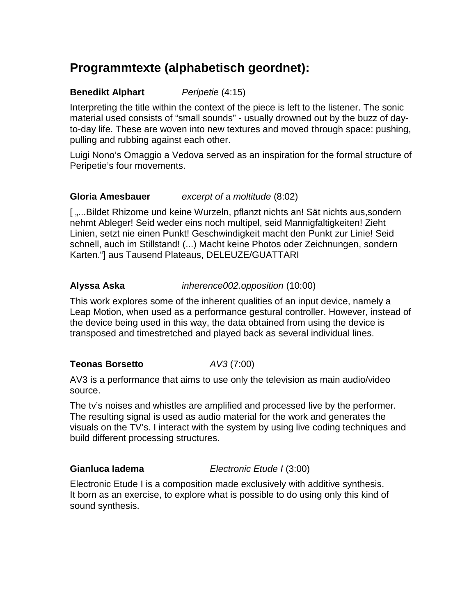## **Programmtexte (alphabetisch geordnet):**

## **Benedikt Alphart** *Peripetie* (4:15)

Interpreting the title within the context of the piece is left to the listener. The sonic material used consists of "small sounds" - usually drowned out by the buzz of dayto-day life. These are woven into new textures and moved through space: pushing, pulling and rubbing against each other.

Luigi Nono's Omaggio a Vedova served as an inspiration for the formal structure of Peripetie's four movements.

## **Gloria Amesbauer** *excerpt of a moltitude* (8:02)

[ ,...Bildet Rhizome und keine Wurzeln, pflanzt nichts an! Sät nichts aus, sondern nehmt Ableger! Seid weder eins noch multipel, seid Mannigfaltigkeiten! Zieht Linien, setzt nie einen Punkt! Geschwindigkeit macht den Punkt zur Linie! Seid schnell, auch im Stillstand! (...) Macht keine Photos oder Zeichnungen, sondern Karten."] aus Tausend Plateaus, DELEUZE/GUATTARI

## **Alyssa Aska** *inherence002.opposition* (10:00)

This work explores some of the inherent qualities of an input device, namely a Leap Motion, when used as a performance gestural controller. However, instead of the device being used in this way, the data obtained from using the device is transposed and timestretched and played back as several individual lines.

## **Teonas Borsetto** *AV3* (7:00)

AV3 is a performance that aims to use only the television as main audio/video source.

The tv's noises and whistles are amplified and processed live by the performer. The resulting signal is used as audio material for the work and generates the visuals on the TV's. I interact with the system by using live coding techniques and build different processing structures.

**Gianluca Iadema** *Electronic Etude I* (3:00)

Electronic Etude I is a composition made exclusively with additive synthesis. It born as an exercise, to explore what is possible to do using only this kind of sound synthesis.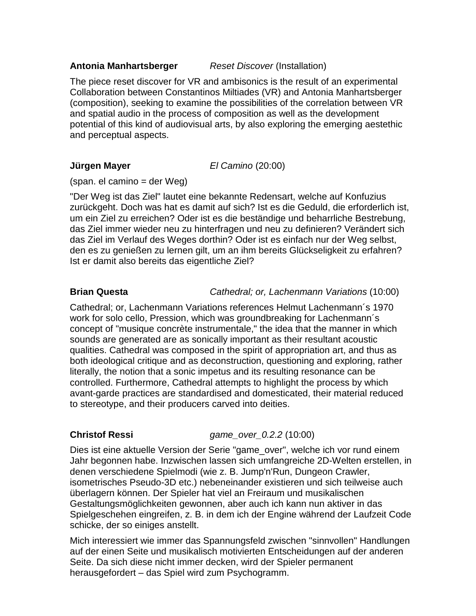## **Antonia Manhartsberger** *Reset Discover* (Installation)

The piece reset discover for VR and ambisonics is the result of an experimental Collaboration between Constantinos Miltiades (VR) and Antonia Manhartsberger (composition), seeking to examine the possibilities of the correlation between VR and spatial audio in the process of composition as well as the development potential of this kind of audiovisual arts, by also exploring the emerging aestethic and perceptual aspects.

**Jürgen Mayer** *El Camino* (20:00)

(span. el camino = der Weg)

"Der Weg ist das Ziel" lautet eine bekannte Redensart, welche auf Konfuzius zurückgeht. Doch was hat es damit auf sich? Ist es die Geduld, die erforderlich ist, um ein Ziel zu erreichen? Oder ist es die beständige und beharrliche Bestrebung, das Ziel immer wieder neu zu hinterfragen und neu zu definieren? Verändert sich das Ziel im Verlauf des Weges dorthin? Oder ist es einfach nur der Weg selbst, den es zu genießen zu lernen gilt, um an ihm bereits Glückseligkeit zu erfahren? Ist er damit also bereits das eigentliche Ziel?

## **Brian Questa** *Cathedral; or, Lachenmann Variations* (10:00)

Cathedral; or, Lachenmann Variations references Helmut Lachenmann´s 1970 work for solo cello, Pression, which was groundbreaking for Lachenmann´s concept of "musique concrète instrumentale," the idea that the manner in which sounds are generated are as sonically important as their resultant acoustic qualities. Cathedral was composed in the spirit of appropriation art, and thus as both ideological critique and as deconstruction, questioning and exploring, rather literally, the notion that a sonic impetus and its resulting resonance can be controlled. Furthermore, Cathedral attempts to highlight the process by which avant-garde practices are standardised and domesticated, their material reduced to stereotype, and their producers carved into deities.

**Christof Ressi** *game\_over\_0.2.2* (10:00)

Dies ist eine aktuelle Version der Serie "game\_over", welche ich vor rund einem Jahr begonnen habe. Inzwischen lassen sich umfangreiche 2D-Welten erstellen, in denen verschiedene Spielmodi (wie z. B. Jump'n'Run, Dungeon Crawler, isometrisches Pseudo-3D etc.) nebeneinander existieren und sich teilweise auch überlagern können. Der Spieler hat viel an Freiraum und musikalischen Gestaltungsmöglichkeiten gewonnen, aber auch ich kann nun aktiver in das Spielgeschehen eingreifen, z. B. in dem ich der Engine während der Laufzeit Code schicke, der so einiges anstellt.

Mich interessiert wie immer das Spannungsfeld zwischen "sinnvollen" Handlungen auf der einen Seite und musikalisch motivierten Entscheidungen auf der anderen Seite. Da sich diese nicht immer decken, wird der Spieler permanent herausgefordert – das Spiel wird zum Psychogramm.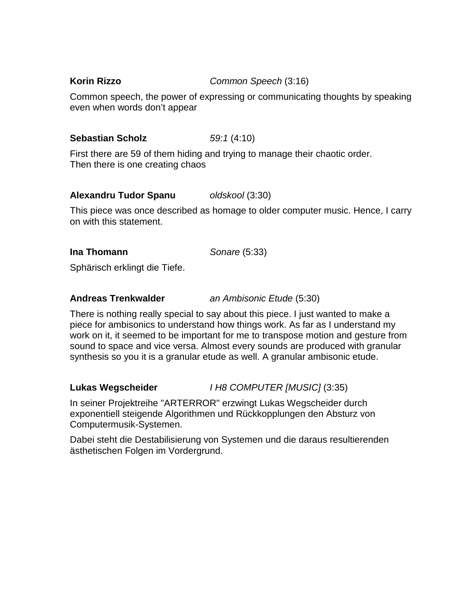**Korin Rizzo** *Common Speech* (3:16)

Common speech, the power of expressing or communicating thoughts by speaking even when words don't appear

## **Sebastian Scholz** *59:1* (4:10)

First there are 59 of them hiding and trying to manage their chaotic order. Then there is one creating chaos

## **Alexandru Tudor Spanu** *oldskool* (3:30)

This piece was once described as homage to older computer music. Hence, I carry on with this statement.

## **Ina Thomann** *Sonare* (5:33)

Sphärisch erklingt die Tiefe.

## **Andreas Trenkwalder** *an Ambisonic Etude* (5:30)

There is nothing really special to say about this piece. I just wanted to make a piece for ambisonics to understand how things work. As far as I understand my work on it, it seemed to be important for me to transpose motion and gesture from sound to space and vice versa. Almost every sounds are produced with granular synthesis so you it is a granular etude as well. A granular ambisonic etude.

## **Lukas Wegscheider** *I H8 COMPUTER [MUSIC]* (3:35)

In seiner Projektreihe "ARTERROR" erzwingt Lukas Wegscheider durch exponentiell steigende Algorithmen und Rückkopplungen den Absturz von Computermusik-Systemen.

Dabei steht die Destabilisierung von Systemen und die daraus resultierenden ästhetischen Folgen im Vordergrund.